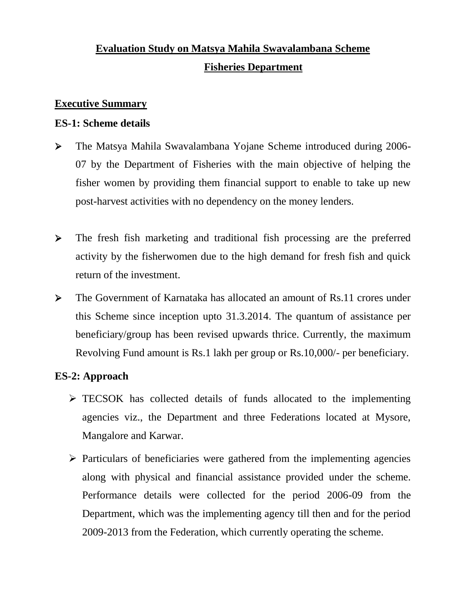# **Evaluation Study on Matsya Mahila Swavalambana Scheme Fisheries Department**

#### **Executive Summary**

#### **ES-1: Scheme details**

- The Matsya Mahila Swavalambana Yojane Scheme introduced during 2006- 07 by the Department of Fisheries with the main objective of helping the fisher women by providing them financial support to enable to take up new post-harvest activities with no dependency on the money lenders.
- The fresh fish marketing and traditional fish processing are the preferred activity by the fisherwomen due to the high demand for fresh fish and quick return of the investment.
- The Government of Karnataka has allocated an amount of Rs.11 crores under this Scheme since inception upto 31.3.2014. The quantum of assistance per beneficiary/group has been revised upwards thrice. Currently, the maximum Revolving Fund amount is Rs.1 lakh per group or Rs.10,000/- per beneficiary.

# **ES-2: Approach**

- $\triangleright$  TECSOK has collected details of funds allocated to the implementing agencies viz., the Department and three Federations located at Mysore, Mangalore and Karwar.
- $\triangleright$  Particulars of beneficiaries were gathered from the implementing agencies along with physical and financial assistance provided under the scheme. Performance details were collected for the period 2006-09 from the Department, which was the implementing agency till then and for the period 2009-2013 from the Federation, which currently operating the scheme.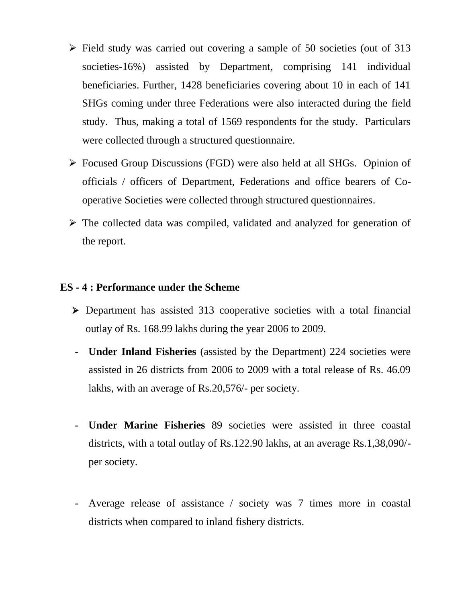- $\triangleright$  Field study was carried out covering a sample of 50 societies (out of 313 societies-16%) assisted by Department, comprising 141 individual beneficiaries. Further, 1428 beneficiaries covering about 10 in each of 141 SHGs coming under three Federations were also interacted during the field study. Thus, making a total of 1569 respondents for the study. Particulars were collected through a structured questionnaire.
- Focused Group Discussions (FGD) were also held at all SHGs. Opinion of officials / officers of Department, Federations and office bearers of Cooperative Societies were collected through structured questionnaires.
- $\triangleright$  The collected data was compiled, validated and analyzed for generation of the report.

#### **ES - 4 : Performance under the Scheme**

- Department has assisted 313 cooperative societies with a total financial outlay of Rs. 168.99 lakhs during the year 2006 to 2009.
- **Under Inland Fisheries** (assisted by the Department) 224 societies were assisted in 26 districts from 2006 to 2009 with a total release of Rs. 46.09 lakhs, with an average of Rs.20,576/- per society.
- **Under Marine Fisheries** 89 societies were assisted in three coastal districts, with a total outlay of Rs.122.90 lakhs, at an average Rs.1,38,090/ per society.
- Average release of assistance / society was 7 times more in coastal districts when compared to inland fishery districts.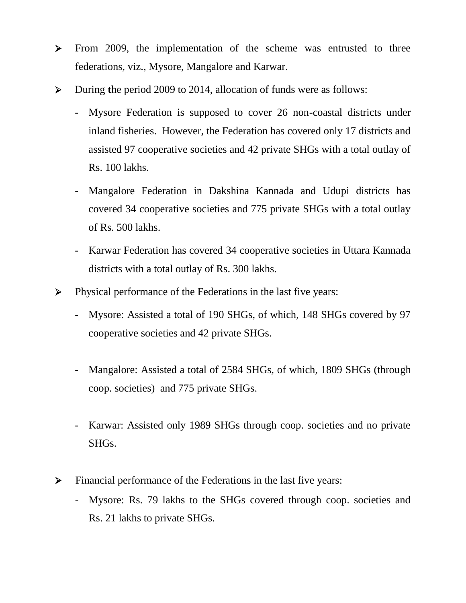- > From 2009, the implementation of the scheme was entrusted to three federations, viz., Mysore, Mangalore and Karwar.
- During **t**he period 2009 to 2014, allocation of funds were as follows:
	- Mysore Federation is supposed to cover 26 non-coastal districts under inland fisheries. However, the Federation has covered only 17 districts and assisted 97 cooperative societies and 42 private SHGs with a total outlay of Rs. 100 lakhs.
	- Mangalore Federation in Dakshina Kannada and Udupi districts has covered 34 cooperative societies and 775 private SHGs with a total outlay of Rs. 500 lakhs.
	- Karwar Federation has covered 34 cooperative societies in Uttara Kannada districts with a total outlay of Rs. 300 lakhs.
- Physical performance of the Federations in the last five years:
	- Mysore: Assisted a total of 190 SHGs, of which, 148 SHGs covered by 97 cooperative societies and 42 private SHGs.
	- Mangalore: Assisted a total of 2584 SHGs, of which, 1809 SHGs (through coop. societies) and 775 private SHGs.
	- Karwar: Assisted only 1989 SHGs through coop. societies and no private SHGs.
- Financial performance of the Federations in the last five years:
	- Mysore: Rs. 79 lakhs to the SHGs covered through coop. societies and Rs. 21 lakhs to private SHGs.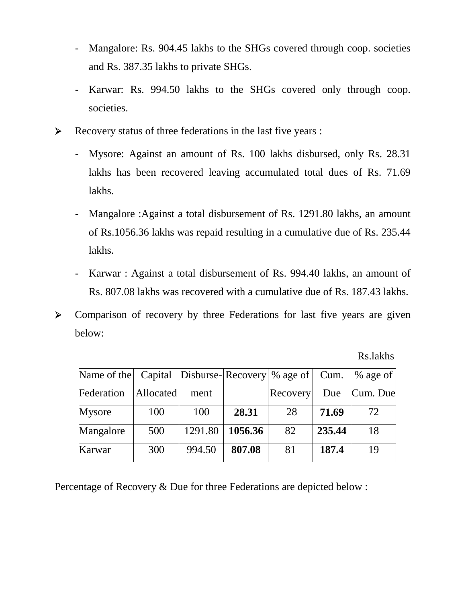- Mangalore: Rs. 904.45 lakhs to the SHGs covered through coop. societies and Rs. 387.35 lakhs to private SHGs.
- Karwar: Rs. 994.50 lakhs to the SHGs covered only through coop. societies.
- $\triangleright$  Recovery status of three federations in the last five years :
	- Mysore: Against an amount of Rs. 100 lakhs disbursed, only Rs. 28.31 lakhs has been recovered leaving accumulated total dues of Rs. 71.69 lakhs.
	- Mangalore :Against a total disbursement of Rs. 1291.80 lakhs, an amount of Rs.1056.36 lakhs was repaid resulting in a cumulative due of Rs. 235.44 lakhs.
	- Karwar : Against a total disbursement of Rs. 994.40 lakhs, an amount of Rs. 807.08 lakhs was recovered with a cumulative due of Rs. 187.43 lakhs.
- S Comparison of recovery by three Federations for last five years are given below:

Rs.lakhs

| Name of the Capital Disburse-Recovery \% age of Cum. |           |         |         |                 |        | $%$ age of |
|------------------------------------------------------|-----------|---------|---------|-----------------|--------|------------|
| Federation                                           | Allocated | ment    |         | <b>Recovery</b> | Due    | Cum. Due   |
| <b>Mysore</b>                                        | 100       | 100     | 28.31   | 28              | 71.69  | 72         |
| Mangalore                                            | 500       | 1291.80 | 1056.36 | 82              | 235.44 | 18         |
| Karwar                                               | 300       | 994.50  | 807.08  | 81              | 187.4  | 19         |

Percentage of Recovery & Due for three Federations are depicted below :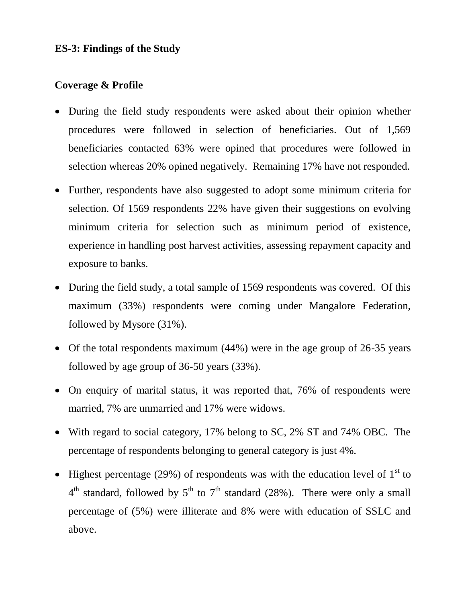#### **ES-3: Findings of the Study**

#### **Coverage & Profile**

- During the field study respondents were asked about their opinion whether procedures were followed in selection of beneficiaries. Out of 1,569 beneficiaries contacted 63% were opined that procedures were followed in selection whereas 20% opined negatively. Remaining 17% have not responded.
- Further, respondents have also suggested to adopt some minimum criteria for selection. Of 1569 respondents 22% have given their suggestions on evolving minimum criteria for selection such as minimum period of existence, experience in handling post harvest activities, assessing repayment capacity and exposure to banks.
- During the field study, a total sample of 1569 respondents was covered. Of this maximum (33%) respondents were coming under Mangalore Federation, followed by Mysore (31%).
- Of the total respondents maximum (44%) were in the age group of 26-35 years followed by age group of 36-50 years (33%).
- On enquiry of marital status, it was reported that, 76% of respondents were married, 7% are unmarried and 17% were widows.
- With regard to social category, 17% belong to SC, 2% ST and 74% OBC. The percentage of respondents belonging to general category is just 4%.
- Highest percentage (29%) of respondents was with the education level of  $1<sup>st</sup>$  to  $4<sup>th</sup>$  standard, followed by  $5<sup>th</sup>$  to  $7<sup>th</sup>$  standard (28%). There were only a small percentage of (5%) were illiterate and 8% were with education of SSLC and above.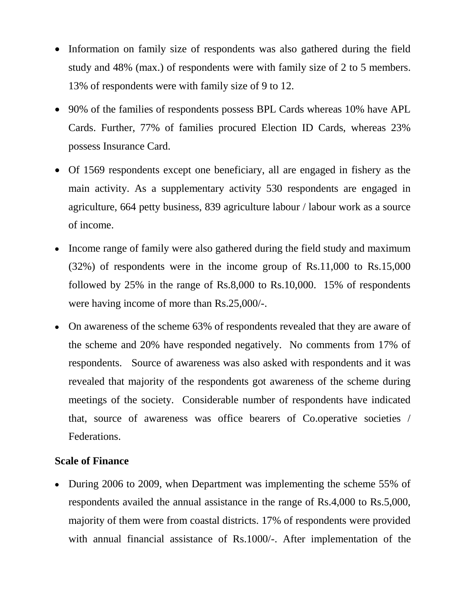- Information on family size of respondents was also gathered during the field study and 48% (max.) of respondents were with family size of 2 to 5 members. 13% of respondents were with family size of 9 to 12.
- 90% of the families of respondents possess BPL Cards whereas 10% have APL Cards. Further, 77% of families procured Election ID Cards, whereas 23% possess Insurance Card.
- Of 1569 respondents except one beneficiary, all are engaged in fishery as the main activity. As a supplementary activity 530 respondents are engaged in agriculture, 664 petty business, 839 agriculture labour / labour work as a source of income.
- Income range of family were also gathered during the field study and maximum (32%) of respondents were in the income group of Rs.11,000 to Rs.15,000 followed by 25% in the range of Rs.8,000 to Rs.10,000. 15% of respondents were having income of more than Rs.25,000/-.
- On awareness of the scheme 63% of respondents revealed that they are aware of the scheme and 20% have responded negatively. No comments from 17% of respondents. Source of awareness was also asked with respondents and it was revealed that majority of the respondents got awareness of the scheme during meetings of the society. Considerable number of respondents have indicated that, source of awareness was office bearers of Co.operative societies / Federations.

#### **Scale of Finance**

• During 2006 to 2009, when Department was implementing the scheme 55% of respondents availed the annual assistance in the range of Rs.4,000 to Rs.5,000, majority of them were from coastal districts. 17% of respondents were provided with annual financial assistance of Rs.1000/-. After implementation of the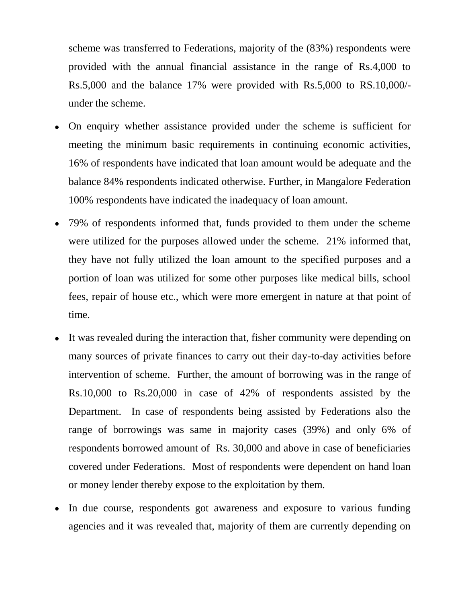scheme was transferred to Federations, majority of the (83%) respondents were provided with the annual financial assistance in the range of Rs.4,000 to Rs.5,000 and the balance 17% were provided with Rs.5,000 to RS.10,000/ under the scheme.

- On enquiry whether assistance provided under the scheme is sufficient for meeting the minimum basic requirements in continuing economic activities, 16% of respondents have indicated that loan amount would be adequate and the balance 84% respondents indicated otherwise. Further, in Mangalore Federation 100% respondents have indicated the inadequacy of loan amount.
- 79% of respondents informed that, funds provided to them under the scheme were utilized for the purposes allowed under the scheme. 21% informed that, they have not fully utilized the loan amount to the specified purposes and a portion of loan was utilized for some other purposes like medical bills, school fees, repair of house etc., which were more emergent in nature at that point of time.
- It was revealed during the interaction that, fisher community were depending on many sources of private finances to carry out their day-to-day activities before intervention of scheme. Further, the amount of borrowing was in the range of Rs.10,000 to Rs.20,000 in case of 42% of respondents assisted by the Department. In case of respondents being assisted by Federations also the range of borrowings was same in majority cases (39%) and only 6% of respondents borrowed amount of Rs. 30,000 and above in case of beneficiaries covered under Federations. Most of respondents were dependent on hand loan or money lender thereby expose to the exploitation by them.
- In due course, respondents got awareness and exposure to various funding agencies and it was revealed that, majority of them are currently depending on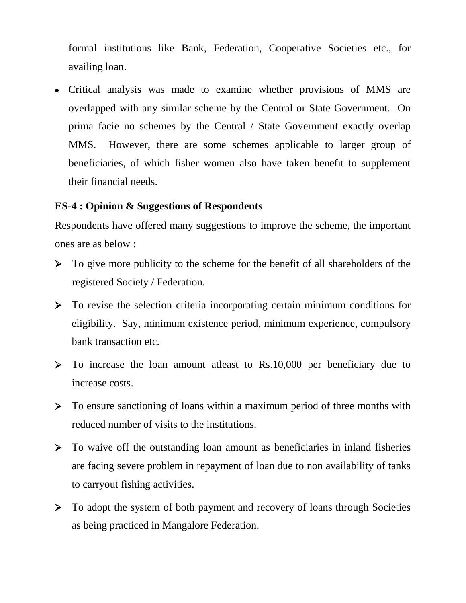formal institutions like Bank, Federation, Cooperative Societies etc., for availing loan.

 Critical analysis was made to examine whether provisions of MMS are overlapped with any similar scheme by the Central or State Government. On prima facie no schemes by the Central / State Government exactly overlap MMS. However, there are some schemes applicable to larger group of beneficiaries, of which fisher women also have taken benefit to supplement their financial needs.

#### **ES-4 : Opinion & Suggestions of Respondents**

Respondents have offered many suggestions to improve the scheme, the important ones are as below :

- $\triangleright$  To give more publicity to the scheme for the benefit of all shareholders of the registered Society / Federation.
- $\triangleright$  To revise the selection criteria incorporating certain minimum conditions for eligibility. Say, minimum existence period, minimum experience, compulsory bank transaction etc.
- To increase the loan amount atleast to Rs.10,000 per beneficiary due to increase costs.
- $\triangleright$  To ensure sanctioning of loans within a maximum period of three months with reduced number of visits to the institutions.
- To waive off the outstanding loan amount as beneficiaries in inland fisheries are facing severe problem in repayment of loan due to non availability of tanks to carryout fishing activities.
- $\triangleright$  To adopt the system of both payment and recovery of loans through Societies as being practiced in Mangalore Federation.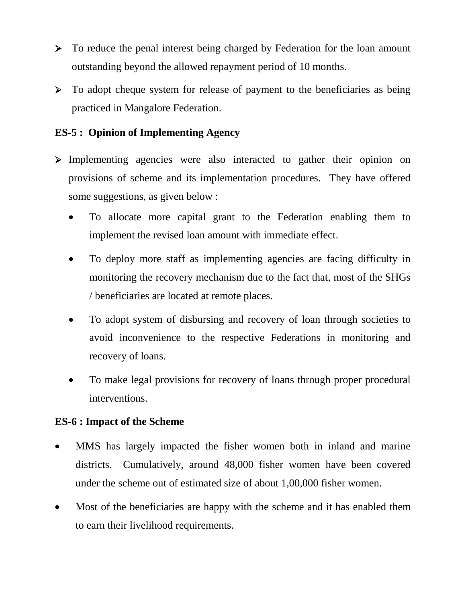- $\triangleright$  To reduce the penal interest being charged by Federation for the loan amount outstanding beyond the allowed repayment period of 10 months.
- $\triangleright$  To adopt cheque system for release of payment to the beneficiaries as being practiced in Mangalore Federation.

# **ES-5 : Opinion of Implementing Agency**

- > Implementing agencies were also interacted to gather their opinion on provisions of scheme and its implementation procedures. They have offered some suggestions, as given below :
	- To allocate more capital grant to the Federation enabling them to implement the revised loan amount with immediate effect.
	- To deploy more staff as implementing agencies are facing difficulty in monitoring the recovery mechanism due to the fact that, most of the SHGs / beneficiaries are located at remote places.
	- To adopt system of disbursing and recovery of loan through societies to avoid inconvenience to the respective Federations in monitoring and recovery of loans.
	- To make legal provisions for recovery of loans through proper procedural interventions.

#### **ES-6 : Impact of the Scheme**

- MMS has largely impacted the fisher women both in inland and marine districts. Cumulatively, around 48,000 fisher women have been covered under the scheme out of estimated size of about 1,00,000 fisher women.
- Most of the beneficiaries are happy with the scheme and it has enabled them to earn their livelihood requirements.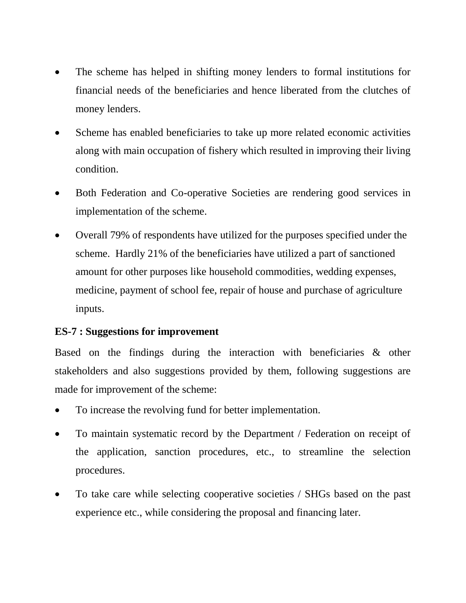- The scheme has helped in shifting money lenders to formal institutions for financial needs of the beneficiaries and hence liberated from the clutches of money lenders.
- Scheme has enabled beneficiaries to take up more related economic activities along with main occupation of fishery which resulted in improving their living condition.
- Both Federation and Co-operative Societies are rendering good services in implementation of the scheme.
- Overall 79% of respondents have utilized for the purposes specified under the scheme. Hardly 21% of the beneficiaries have utilized a part of sanctioned amount for other purposes like household commodities, wedding expenses, medicine, payment of school fee, repair of house and purchase of agriculture inputs.

#### **ES-7 : Suggestions for improvement**

Based on the findings during the interaction with beneficiaries & other stakeholders and also suggestions provided by them, following suggestions are made for improvement of the scheme:

- To increase the revolving fund for better implementation.
- To maintain systematic record by the Department / Federation on receipt of the application, sanction procedures, etc., to streamline the selection procedures.
- To take care while selecting cooperative societies / SHGs based on the past experience etc., while considering the proposal and financing later.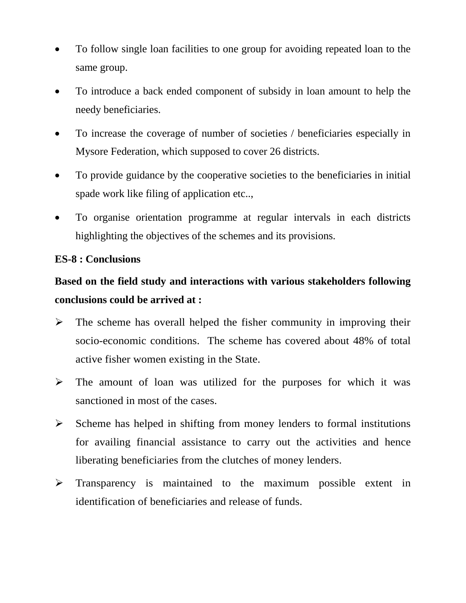- To follow single loan facilities to one group for avoiding repeated loan to the same group.
- To introduce a back ended component of subsidy in loan amount to help the needy beneficiaries.
- To increase the coverage of number of societies / beneficiaries especially in Mysore Federation, which supposed to cover 26 districts.
- To provide guidance by the cooperative societies to the beneficiaries in initial spade work like filing of application etc..,
- To organise orientation programme at regular intervals in each districts highlighting the objectives of the schemes and its provisions.

### **ES-8 : Conclusions**

# **Based on the field study and interactions with various stakeholders following conclusions could be arrived at :**

- $\triangleright$  The scheme has overall helped the fisher community in improving their socio-economic conditions. The scheme has covered about 48% of total active fisher women existing in the State.
- $\triangleright$  The amount of loan was utilized for the purposes for which it was sanctioned in most of the cases.
- $\triangleright$  Scheme has helped in shifting from money lenders to formal institutions for availing financial assistance to carry out the activities and hence liberating beneficiaries from the clutches of money lenders.
- $\triangleright$  Transparency is maintained to the maximum possible extent in identification of beneficiaries and release of funds.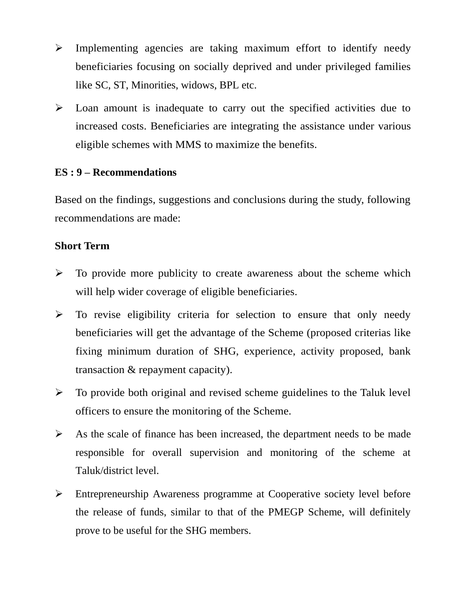- $\triangleright$  Implementing agencies are taking maximum effort to identify needy beneficiaries focusing on socially deprived and under privileged families like SC, ST, Minorities, widows, BPL etc.
- $\triangleright$  Loan amount is inadequate to carry out the specified activities due to increased costs. Beneficiaries are integrating the assistance under various eligible schemes with MMS to maximize the benefits.

#### **ES : 9 – Recommendations**

Based on the findings, suggestions and conclusions during the study, following recommendations are made:

#### **Short Term**

- $\triangleright$  To provide more publicity to create awareness about the scheme which will help wider coverage of eligible beneficiaries.
- $\triangleright$  To revise eligibility criteria for selection to ensure that only needy beneficiaries will get the advantage of the Scheme (proposed criterias like fixing minimum duration of SHG, experience, activity proposed, bank transaction & repayment capacity).
- $\triangleright$  To provide both original and revised scheme guidelines to the Taluk level officers to ensure the monitoring of the Scheme.
- $\triangleright$  As the scale of finance has been increased, the department needs to be made responsible for overall supervision and monitoring of the scheme at Taluk/district level.
- Entrepreneurship Awareness programme at Cooperative society level before the release of funds, similar to that of the PMEGP Scheme, will definitely prove to be useful for the SHG members.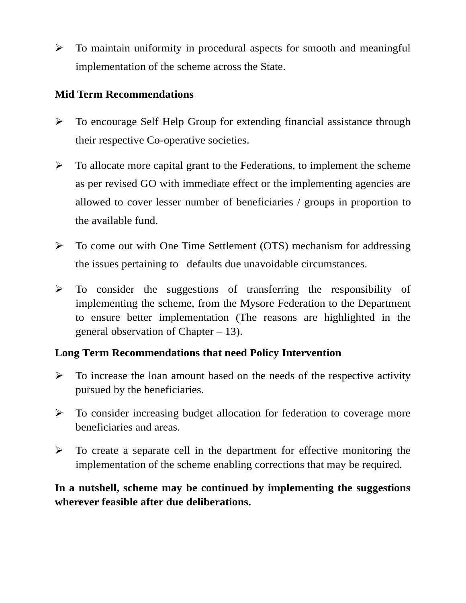$\triangleright$  To maintain uniformity in procedural aspects for smooth and meaningful implementation of the scheme across the State.

# **Mid Term Recommendations**

- $\triangleright$  To encourage Self Help Group for extending financial assistance through their respective Co-operative societies.
- $\triangleright$  To allocate more capital grant to the Federations, to implement the scheme as per revised GO with immediate effect or the implementing agencies are allowed to cover lesser number of beneficiaries / groups in proportion to the available fund.
- To come out with One Time Settlement (OTS) mechanism for addressing the issues pertaining to defaults due unavoidable circumstances.
- $\triangleright$  To consider the suggestions of transferring the responsibility of implementing the scheme, from the Mysore Federation to the Department to ensure better implementation (The reasons are highlighted in the general observation of Chapter – 13).

# **Long Term Recommendations that need Policy Intervention**

- $\triangleright$  To increase the loan amount based on the needs of the respective activity pursued by the beneficiaries.
- $\triangleright$  To consider increasing budget allocation for federation to coverage more beneficiaries and areas.
- $\triangleright$  To create a separate cell in the department for effective monitoring the implementation of the scheme enabling corrections that may be required.

# **In a nutshell, scheme may be continued by implementing the suggestions wherever feasible after due deliberations.**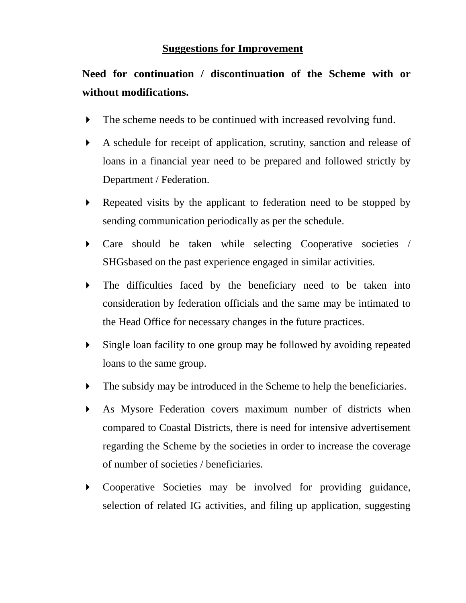#### **Suggestions for Improvement**

# **Need for continuation / discontinuation of the Scheme with or without modifications.**

- The scheme needs to be continued with increased revolving fund.
- A schedule for receipt of application, scrutiny, sanction and release of loans in a financial year need to be prepared and followed strictly by Department / Federation.
- Repeated visits by the applicant to federation need to be stopped by sending communication periodically as per the schedule.
- Care should be taken while selecting Cooperative societies / SHGsbased on the past experience engaged in similar activities.
- The difficulties faced by the beneficiary need to be taken into consideration by federation officials and the same may be intimated to the Head Office for necessary changes in the future practices.
- Single loan facility to one group may be followed by avoiding repeated loans to the same group.
- The subsidy may be introduced in the Scheme to help the beneficiaries.
- As Mysore Federation covers maximum number of districts when compared to Coastal Districts, there is need for intensive advertisement regarding the Scheme by the societies in order to increase the coverage of number of societies / beneficiaries.
- Cooperative Societies may be involved for providing guidance, selection of related IG activities, and filing up application, suggesting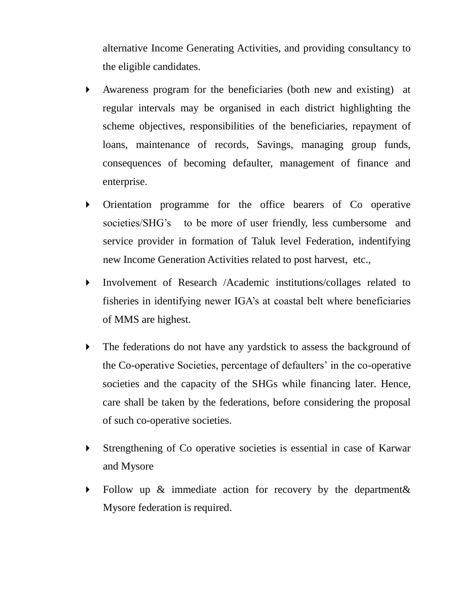alternative Income Generating Activities, and providing consultancy to the eligible candidates.

- Awareness program for the beneficiaries (both new and existing) at regular intervals may be organised in each district highlighting the scheme objectives, responsibilities of the beneficiaries, repayment of loans, maintenance of records, Savings, managing group funds, consequences of becoming defaulter, management of finance and enterprise.
- Orientation programme for the office bearers of Co operative societies/SHG's to be more of user friendly, less cumbersome and service provider in formation of Taluk level Federation, indentifying new Income Generation Activities related to post harvest, etc.,
- Involvement of Research /Academic institutions/collages related to fisheries in identifying newer IGA's at coastal belt where beneficiaries of MMS are highest.
- The federations do not have any yardstick to assess the background of the Co-operative Societies, percentage of defaulters' in the co-operative societies and the capacity of the SHGs while financing later. Hence, care shall be taken by the federations, before considering the proposal of such co-operative societies.
- Strengthening of Co operative societies is essential in case of Karwar and Mysore
- Follow up & immediate action for recovery by the department & Mysore federation is required.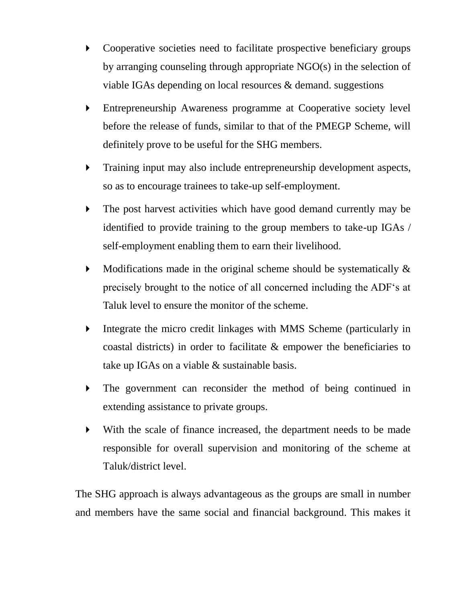- Cooperative societies need to facilitate prospective beneficiary groups by arranging counseling through appropriate NGO(s) in the selection of viable IGAs depending on local resources & demand. suggestions
- Entrepreneurship Awareness programme at Cooperative society level before the release of funds, similar to that of the PMEGP Scheme, will definitely prove to be useful for the SHG members.
- Training input may also include entrepreneurship development aspects, so as to encourage trainees to take-up self-employment.
- The post harvest activities which have good demand currently may be identified to provide training to the group members to take-up IGAs / self-employment enabling them to earn their livelihood.
- $\blacktriangleright$  Modifications made in the original scheme should be systematically  $\&$ precisely brought to the notice of all concerned including the ADF's at Taluk level to ensure the monitor of the scheme.
- Integrate the micro credit linkages with MMS Scheme (particularly in coastal districts) in order to facilitate & empower the beneficiaries to take up IGAs on a viable & sustainable basis.
- The government can reconsider the method of being continued in extending assistance to private groups.
- With the scale of finance increased, the department needs to be made responsible for overall supervision and monitoring of the scheme at Taluk/district level.

The SHG approach is always advantageous as the groups are small in number and members have the same social and financial background. This makes it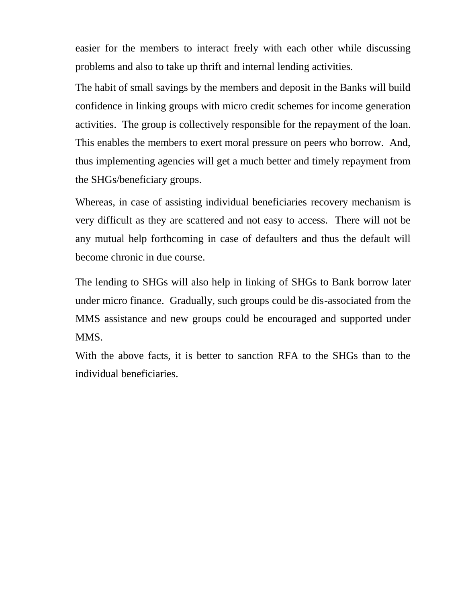easier for the members to interact freely with each other while discussing problems and also to take up thrift and internal lending activities.

The habit of small savings by the members and deposit in the Banks will build confidence in linking groups with micro credit schemes for income generation activities. The group is collectively responsible for the repayment of the loan. This enables the members to exert moral pressure on peers who borrow. And, thus implementing agencies will get a much better and timely repayment from the SHGs/beneficiary groups.

Whereas, in case of assisting individual beneficiaries recovery mechanism is very difficult as they are scattered and not easy to access. There will not be any mutual help forthcoming in case of defaulters and thus the default will become chronic in due course.

The lending to SHGs will also help in linking of SHGs to Bank borrow later under micro finance. Gradually, such groups could be dis-associated from the MMS assistance and new groups could be encouraged and supported under MMS.

With the above facts, it is better to sanction RFA to the SHGs than to the individual beneficiaries.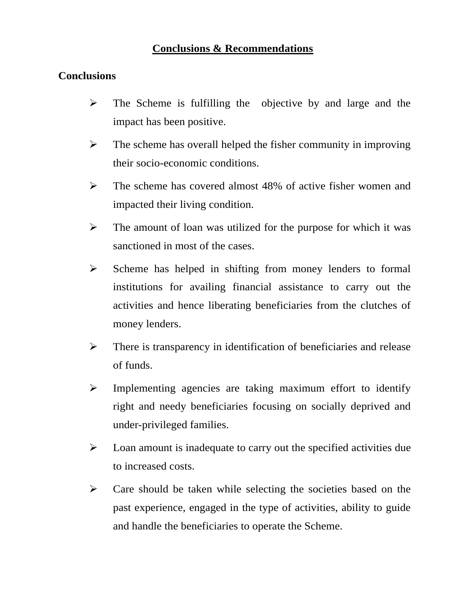### **Conclusions & Recommendations**

# **Conclusions**

- $\triangleright$  The Scheme is fulfilling the objective by and large and the impact has been positive.
- $\triangleright$  The scheme has overall helped the fisher community in improving their socio-economic conditions.
- $\triangleright$  The scheme has covered almost 48% of active fisher women and impacted their living condition.
- $\triangleright$  The amount of loan was utilized for the purpose for which it was sanctioned in most of the cases.
- $\triangleright$  Scheme has helped in shifting from money lenders to formal institutions for availing financial assistance to carry out the activities and hence liberating beneficiaries from the clutches of money lenders.
- $\triangleright$  There is transparency in identification of beneficiaries and release of funds.
- $\triangleright$  Implementing agencies are taking maximum effort to identify right and needy beneficiaries focusing on socially deprived and under-privileged families.
- $\triangleright$  Loan amount is inadequate to carry out the specified activities due to increased costs.
- $\triangleright$  Care should be taken while selecting the societies based on the past experience, engaged in the type of activities, ability to guide and handle the beneficiaries to operate the Scheme.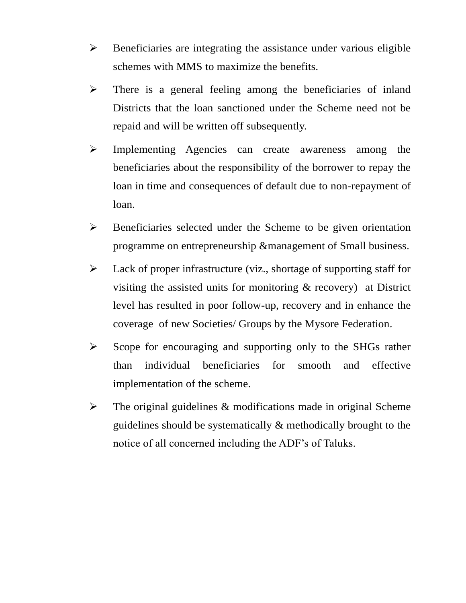- $\triangleright$  Beneficiaries are integrating the assistance under various eligible schemes with MMS to maximize the benefits.
- $\triangleright$  There is a general feeling among the beneficiaries of inland Districts that the loan sanctioned under the Scheme need not be repaid and will be written off subsequently.
- > Implementing Agencies can create awareness among the beneficiaries about the responsibility of the borrower to repay the loan in time and consequences of default due to non-repayment of loan.
- Beneficiaries selected under the Scheme to be given orientation programme on entrepreneurship &management of Small business.
- $\triangleright$  Lack of proper infrastructure (viz., shortage of supporting staff for visiting the assisted units for monitoring & recovery) at District level has resulted in poor follow-up, recovery and in enhance the coverage of new Societies/ Groups by the Mysore Federation.
- $\triangleright$  Scope for encouraging and supporting only to the SHGs rather than individual beneficiaries for smooth and effective implementation of the scheme.
- $\triangleright$  The original guidelines & modifications made in original Scheme guidelines should be systematically & methodically brought to the notice of all concerned including the ADF's of Taluks.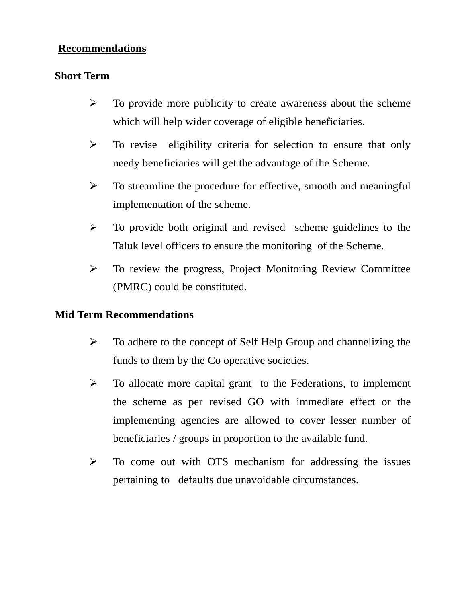#### **Recommendations**

### **Short Term**

- $\triangleright$  To provide more publicity to create awareness about the scheme which will help wider coverage of eligible beneficiaries.
- $\triangleright$  To revise eligibility criteria for selection to ensure that only needy beneficiaries will get the advantage of the Scheme.
- $\triangleright$  To streamline the procedure for effective, smooth and meaningful implementation of the scheme.
- $\triangleright$  To provide both original and revised scheme guidelines to the Taluk level officers to ensure the monitoring of the Scheme.
- To review the progress, Project Monitoring Review Committee (PMRC) could be constituted.

# **Mid Term Recommendations**

- $\triangleright$  To adhere to the concept of Self Help Group and channelizing the funds to them by the Co operative societies.
- $\triangleright$  To allocate more capital grant to the Federations, to implement the scheme as per revised GO with immediate effect or the implementing agencies are allowed to cover lesser number of beneficiaries / groups in proportion to the available fund.
- $\triangleright$  To come out with OTS mechanism for addressing the issues pertaining to defaults due unavoidable circumstances.